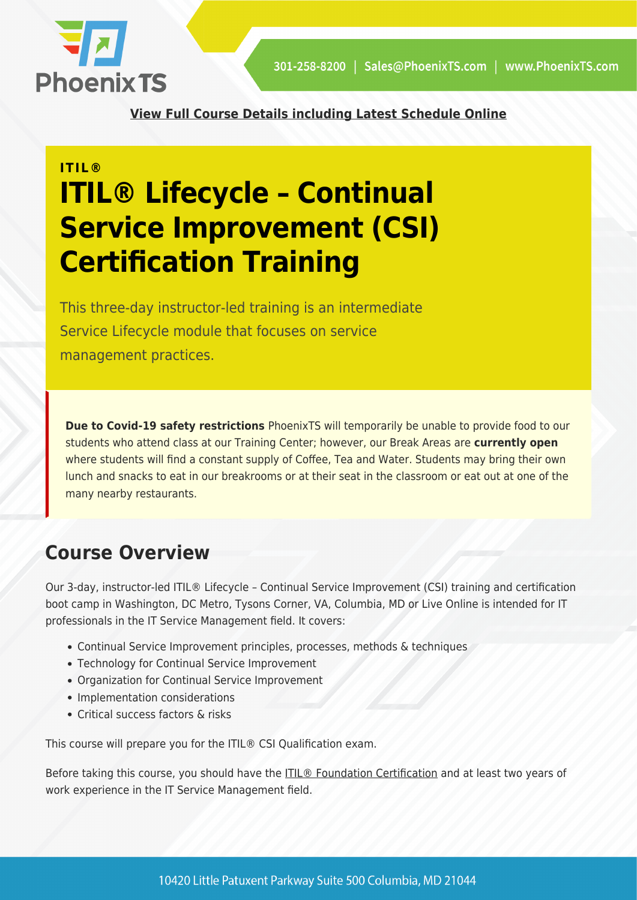

**[View Full Course Details including Latest Schedule Online](https://phoenixts.com/training-courses/itil-lifecycle-continual-service-improvement/)**

# **ITIL® ITIL® Lifecycle – Continual Service Improvement (CSI) Certification Training**

This three-day instructor-led training is an intermediate Service Lifecycle module that focuses on service management practices.

**Due to Covid-19 safety restrictions** PhoenixTS will temporarily be unable to provide food to our students who attend class at our Training Center; however, our Break Areas are **currently open** where students will find a constant supply of Coffee, Tea and Water. Students may bring their own lunch and snacks to eat in our breakrooms or at their seat in the classroom or eat out at one of the many nearby restaurants.

## **Course Overview**

Our 3-day, instructor-led ITIL® Lifecycle – Continual Service Improvement (CSI) training and certification boot camp in Washington, DC Metro, Tysons Corner, VA, Columbia, MD or Live Online is intended for IT professionals in the IT Service Management field. It covers:

- Continual Service Improvement principles, processes, methods & techniques
- Technology for Continual Service Improvement
- Organization for Continual Service Improvement
- Implementation considerations
- Critical success factors & risks

This course will prepare you for the ITIL® CSI Qualification exam.

Before taking this course, you should have the [ITIL® Foundation Certification](https://phoenixts.com/training-courses/itil-foundation/) and at least two years of work experience in the IT Service Management field.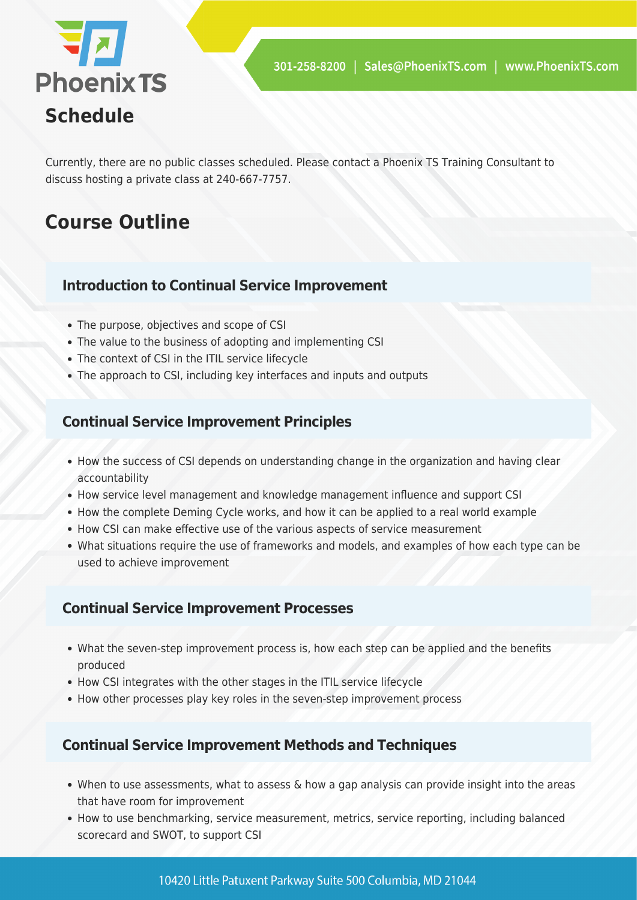

Currently, there are no public classes scheduled. Please contact a Phoenix TS Training Consultant to discuss hosting a private class at 240-667-7757.

## **Course Outline**

#### **Introduction to Continual Service Improvement**

- The purpose, objectives and scope of CSI
- The value to the business of adopting and implementing CSI
- The context of CSI in the ITIL service lifecycle
- The approach to CSI, including key interfaces and inputs and outputs

#### **Continual Service Improvement Principles**

- How the success of CSI depends on understanding change in the organization and having clear accountability
- How service level management and knowledge management influence and support CSI
- How the complete Deming Cycle works, and how it can be applied to a real world example
- How CSI can make effective use of the various aspects of service measurement
- What situations require the use of frameworks and models, and examples of how each type can be used to achieve improvement

#### **Continual Service Improvement Processes**

- What the seven-step improvement process is, how each step can be applied and the benefits produced
- How CSI integrates with the other stages in the ITIL service lifecycle
- How other processes play key roles in the seven-step improvement process

#### **Continual Service Improvement Methods and Techniques**

- When to use assessments, what to assess  $\&$  how a gap analysis can provide insight into the areas that have room for improvement
- How to use benchmarking, service measurement, metrics, service reporting, including balanced scorecard and SWOT, to support CSI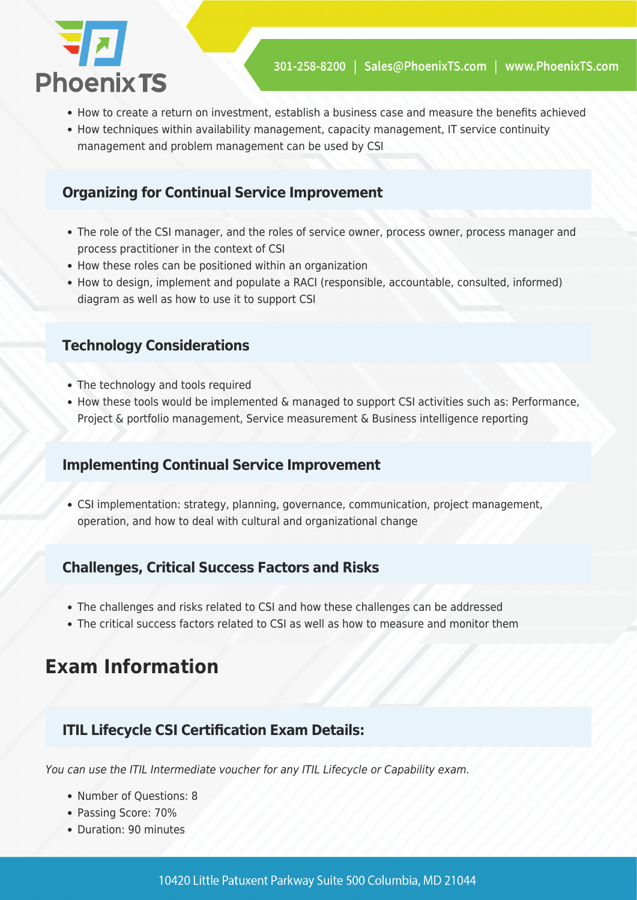

- How to create a return on investment, establish a business case and measure the benefits achieved
- How techniques within availability management, capacity management, IT service continuity management and problem management can be used by CSI

#### **Organizing for Continual Service Improvement**

- The role of the CSI manager, and the roles of service owner, process owner, process manager and process practitioner in the context of CSI
- How these roles can be positioned within an organization
- How to design, implement and populate a RACI (responsible, accountable, consulted, informed) diagram as well as how to use it to support CSI

#### **Technology Considerations**

- The technology and tools required
- How these tools would be implemented & managed to support CSI activities such as: Performance, Project & portfolio management, Service measurement & Business intelligence reporting

#### **Implementing Continual Service Improvement**

CSI implementation: strategy, planning, governance, communication, project management, operation, and how to deal with cultural and organizational change

#### **Challenges, Critical Success Factors and Risks**

- The challenges and risks related to CSI and how these challenges can be addressed
- The critical success factors related to CSI as well as how to measure and monitor them

### **Exam Information**

#### **ITIL Lifecycle CSI Certification Exam Details:**

You can use the ITIL Intermediate voucher for any ITIL Lifecycle or Capability exam.

- Number of Questions: 8
- Passing Score: 70%
- Duration: 90 minutes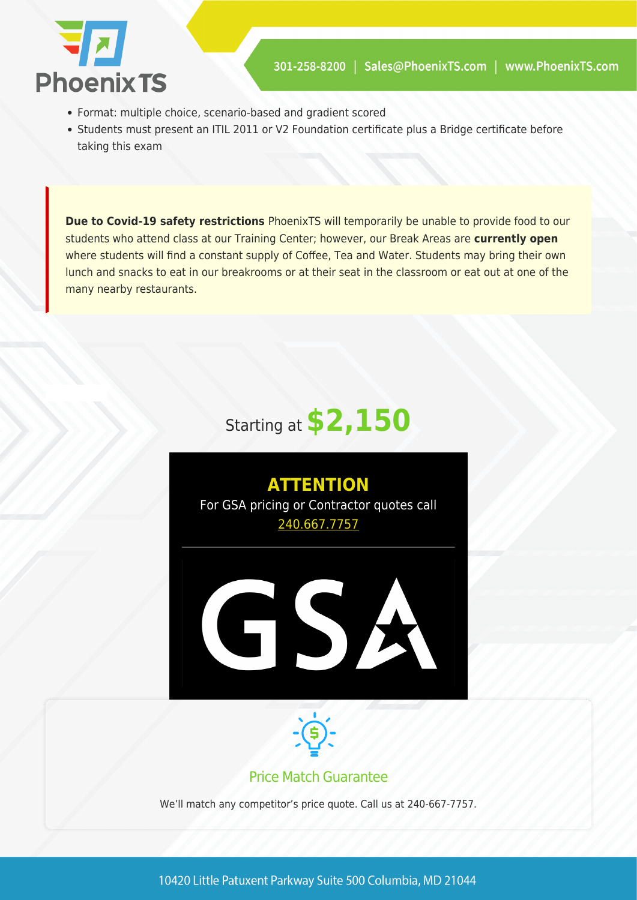

- Format: multiple choice, scenario-based and gradient scored
- Students must present an ITIL 2011 or V2 Foundation certificate plus a Bridge certificate before taking this exam

**Due to Covid-19 safety restrictions** PhoenixTS will temporarily be unable to provide food to our students who attend class at our Training Center; however, our Break Areas are **currently open** where students will find a constant supply of Coffee, Tea and Water. Students may bring their own lunch and snacks to eat in our breakrooms or at their seat in the classroom or eat out at one of the many nearby restaurants.

# Starting at **\$2,150**





#### Price Match Guarantee

We'll match any competitor's price quote. Call us at 240-667-7757.

10420 Little Patuxent Parkway Suite 500 Columbia, MD 21044